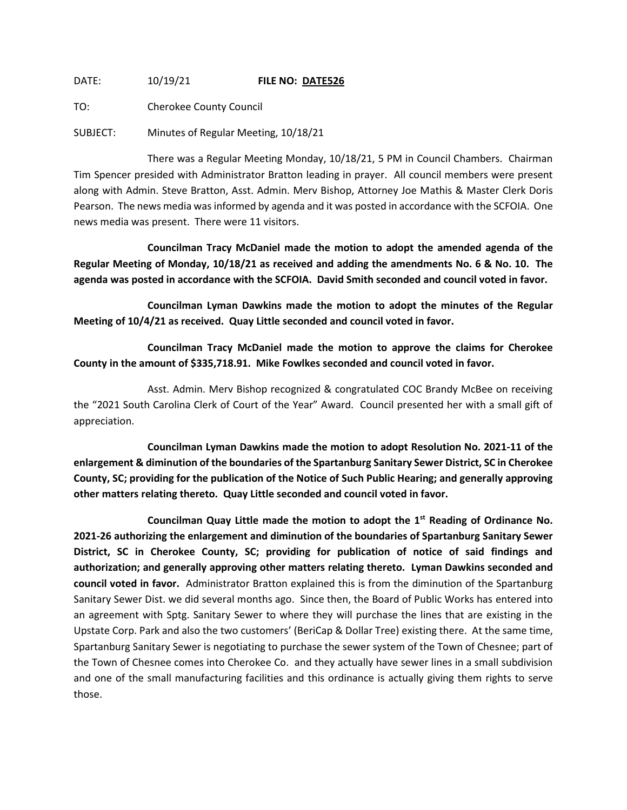DATE: 10/19/21 **FILE NO: DATE526**

TO: Cherokee County Council

SUBJECT: Minutes of Regular Meeting, 10/18/21

There was a Regular Meeting Monday, 10/18/21, 5 PM in Council Chambers. Chairman Tim Spencer presided with Administrator Bratton leading in prayer. All council members were present along with Admin. Steve Bratton, Asst. Admin. Merv Bishop, Attorney Joe Mathis & Master Clerk Doris Pearson. The news media was informed by agenda and it was posted in accordance with the SCFOIA. One news media was present. There were 11 visitors.

**Councilman Tracy McDaniel made the motion to adopt the amended agenda of the Regular Meeting of Monday, 10/18/21 as received and adding the amendments No. 6 & No. 10. The agenda was posted in accordance with the SCFOIA. David Smith seconded and council voted in favor.**

**Councilman Lyman Dawkins made the motion to adopt the minutes of the Regular Meeting of 10/4/21 as received. Quay Little seconded and council voted in favor.**

**Councilman Tracy McDaniel made the motion to approve the claims for Cherokee County in the amount of \$335,718.91. Mike Fowlkes seconded and council voted in favor.**

Asst. Admin. Merv Bishop recognized & congratulated COC Brandy McBee on receiving the "2021 South Carolina Clerk of Court of the Year" Award. Council presented her with a small gift of appreciation.

**Councilman Lyman Dawkins made the motion to adopt Resolution No. 2021-11 of the enlargement & diminution of the boundaries of the Spartanburg Sanitary Sewer District, SC in Cherokee County, SC; providing for the publication of the Notice of Such Public Hearing; and generally approving other matters relating thereto. Quay Little seconded and council voted in favor.**

**Councilman Quay Little made the motion to adopt the 1st Reading of Ordinance No. 2021-26 authorizing the enlargement and diminution of the boundaries of Spartanburg Sanitary Sewer District, SC in Cherokee County, SC; providing for publication of notice of said findings and authorization; and generally approving other matters relating thereto. Lyman Dawkins seconded and council voted in favor.** Administrator Bratton explained this is from the diminution of the Spartanburg Sanitary Sewer Dist. we did several months ago. Since then, the Board of Public Works has entered into an agreement with Sptg. Sanitary Sewer to where they will purchase the lines that are existing in the Upstate Corp. Park and also the two customers' (BeriCap & Dollar Tree) existing there. At the same time, Spartanburg Sanitary Sewer is negotiating to purchase the sewer system of the Town of Chesnee; part of the Town of Chesnee comes into Cherokee Co. and they actually have sewer lines in a small subdivision and one of the small manufacturing facilities and this ordinance is actually giving them rights to serve those.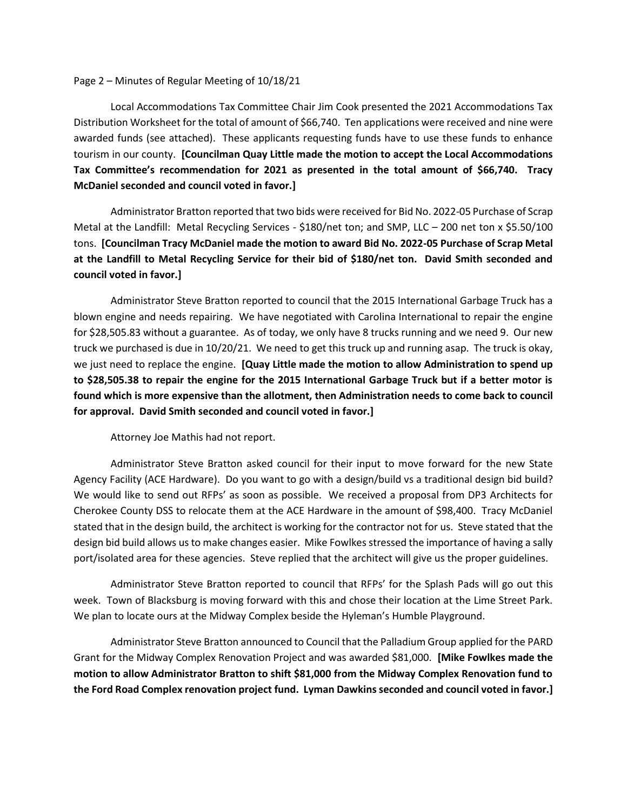## Page 2 – Minutes of Regular Meeting of 10/18/21

Local Accommodations Tax Committee Chair Jim Cook presented the 2021 Accommodations Tax Distribution Worksheet for the total of amount of \$66,740. Ten applications were received and nine were awarded funds (see attached). These applicants requesting funds have to use these funds to enhance tourism in our county. **[Councilman Quay Little made the motion to accept the Local Accommodations Tax Committee's recommendation for 2021 as presented in the total amount of \$66,740. Tracy McDaniel seconded and council voted in favor.]**

Administrator Bratton reported that two bids were received for Bid No. 2022-05 Purchase of Scrap Metal at the Landfill: Metal Recycling Services - \$180/net ton; and SMP, LLC – 200 net ton x \$5.50/100 tons. **[Councilman Tracy McDaniel made the motion to award Bid No. 2022-05 Purchase of Scrap Metal at the Landfill to Metal Recycling Service for their bid of \$180/net ton. David Smith seconded and council voted in favor.]**

Administrator Steve Bratton reported to council that the 2015 International Garbage Truck has a blown engine and needs repairing. We have negotiated with Carolina International to repair the engine for \$28,505.83 without a guarantee. As of today, we only have 8 trucks running and we need 9. Our new truck we purchased is due in 10/20/21. We need to get this truck up and running asap. The truck is okay, we just need to replace the engine. **[Quay Little made the motion to allow Administration to spend up to \$28,505.38 to repair the engine for the 2015 International Garbage Truck but if a better motor is found which is more expensive than the allotment, then Administration needs to come back to council for approval. David Smith seconded and council voted in favor.]**

Attorney Joe Mathis had not report.

Administrator Steve Bratton asked council for their input to move forward for the new State Agency Facility (ACE Hardware). Do you want to go with a design/build vs a traditional design bid build? We would like to send out RFPs' as soon as possible. We received a proposal from DP3 Architects for Cherokee County DSS to relocate them at the ACE Hardware in the amount of \$98,400. Tracy McDaniel stated that in the design build, the architect is working for the contractor not for us. Steve stated that the design bid build allows us to make changes easier. Mike Fowlkes stressed the importance of having a sally port/isolated area for these agencies. Steve replied that the architect will give us the proper guidelines.

Administrator Steve Bratton reported to council that RFPs' for the Splash Pads will go out this week. Town of Blacksburg is moving forward with this and chose their location at the Lime Street Park. We plan to locate ours at the Midway Complex beside the Hyleman's Humble Playground.

Administrator Steve Bratton announced to Council that the Palladium Group applied for the PARD Grant for the Midway Complex Renovation Project and was awarded \$81,000. **[Mike Fowlkes made the motion to allow Administrator Bratton to shift \$81,000 from the Midway Complex Renovation fund to the Ford Road Complex renovation project fund. Lyman Dawkins seconded and council voted in favor.]**